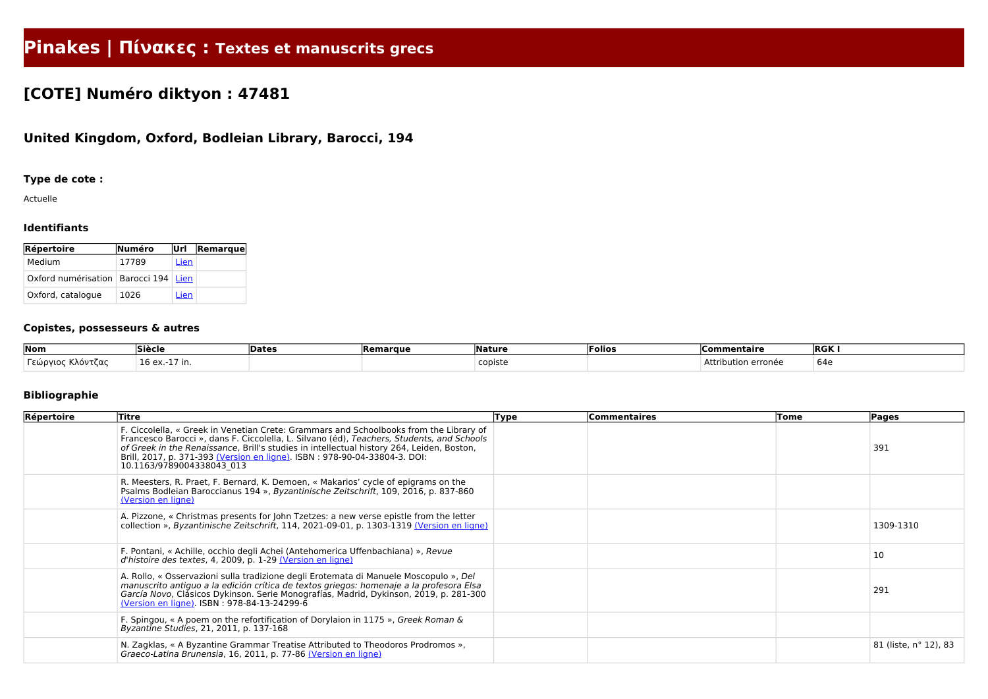# **Pinakes | Πίνακες : Textes et manuscrits grecs**

## **[COTE] Numéro diktyon : 47481**

### **United Kingdom, Oxford, Bodleian Library, Barocci, 194**

#### **Type de cote :**

Actuelle

#### **Identifiants**

| Répertoire                               | Numéro | Url         | <b>Remarque</b> |
|------------------------------------------|--------|-------------|-----------------|
| Medium                                   | 17789  | Lien        |                 |
| Oxford numérisation   Barocci 194   Lien |        |             |                 |
| Oxford, catalogue                        | 1026   | <u>Lien</u> |                 |

#### **Copistes, possesseurs & autres**

| Nom                                                 | <b>Siècle</b> | 'Date. | <b>Remarque</b> | <b>Nature</b> | lFolios | <b>Commentaire</b>      | <b>RGK</b> |
|-----------------------------------------------------|---------------|--------|-----------------|---------------|---------|-------------------------|------------|
| $\sim$ $\sim$<br>  εώρνιοι<br>κλοντ′<br><b>ικας</b> | TP 6X<br>.    |        |                 | copiste       |         | Att.<br>ibution erronée | 640<br>しー  |

#### **Bibliographie**

| Répertoire | Titre                                                                                                                                                                                                                                                                                                                                                                                      | <b>Type</b> | <b>Commentaires</b> | Tome | Pages                 |
|------------|--------------------------------------------------------------------------------------------------------------------------------------------------------------------------------------------------------------------------------------------------------------------------------------------------------------------------------------------------------------------------------------------|-------------|---------------------|------|-----------------------|
|            | F. Ciccolella, « Greek in Venetian Crete: Grammars and Schoolbooks from the Library of<br>Francesco Barocci », dans F. Ciccolella, L. Silvano (éd), Teachers, Students, and Schools<br>of Greek in the Renaissance, Brill's studies in intellectual history 264, Leiden, Boston,<br>Brill, 2017, p. 371-393 (Version en ligne). ISBN: 978-90-04-33804-3. DOI:<br>10.1163/9789004338043 013 |             |                     |      | 391                   |
|            | R. Meesters, R. Praet, F. Bernard, K. Demoen, « Makarios' cycle of epigrams on the<br>Psalms Bodleian Baroccianus 194 », Byzantinische Zeitschrift, 109, 2016, p. 837-860<br>(Version en ligne)                                                                                                                                                                                            |             |                     |      |                       |
|            | A. Pizzone, « Christmas presents for John Tzetzes: a new verse epistle from the letter<br>collection », Byzantinische Zeitschrift, 114, 2021-09-01, p. 1303-1319 (Version en ligne)                                                                                                                                                                                                        |             |                     |      | 1309-1310             |
|            | F. Pontani, « Achille, occhio degli Achei (Antehomerica Uffenbachiana) », Revue<br>d'histoire des textes, 4, 2009, p. 1-29 (Version en ligne)                                                                                                                                                                                                                                              |             |                     |      | 10                    |
|            | A. Rollo, « Osservazioni sulla tradizione degli Erotemata di Manuele Moscopulo », Del<br>manuscrito antiguo a la edición crítica de textos griegos: homenaje a la profesora Elsa<br>García Novo, Clásicos Dykinson. Serie Monografías, Madrid, Dykinson, 2019, p. 281-300<br>(Version en ligne). ISBN: 978-84-13-24299-6                                                                   |             |                     |      | 291                   |
|            | F. Spingou, « A poem on the refortification of Dorylaion in 1175 », Greek Roman &<br>Byzantine Studies, 21, 2011, p. 137-168                                                                                                                                                                                                                                                               |             |                     |      |                       |
|            | N. Zagklas, « A Byzantine Grammar Treatise Attributed to Theodoros Prodromos »,<br>Graeco-Latina Brunensia, 16, 2011, p. 77-86 (Version en ligne)                                                                                                                                                                                                                                          |             |                     |      | 81 (liste, n° 12), 83 |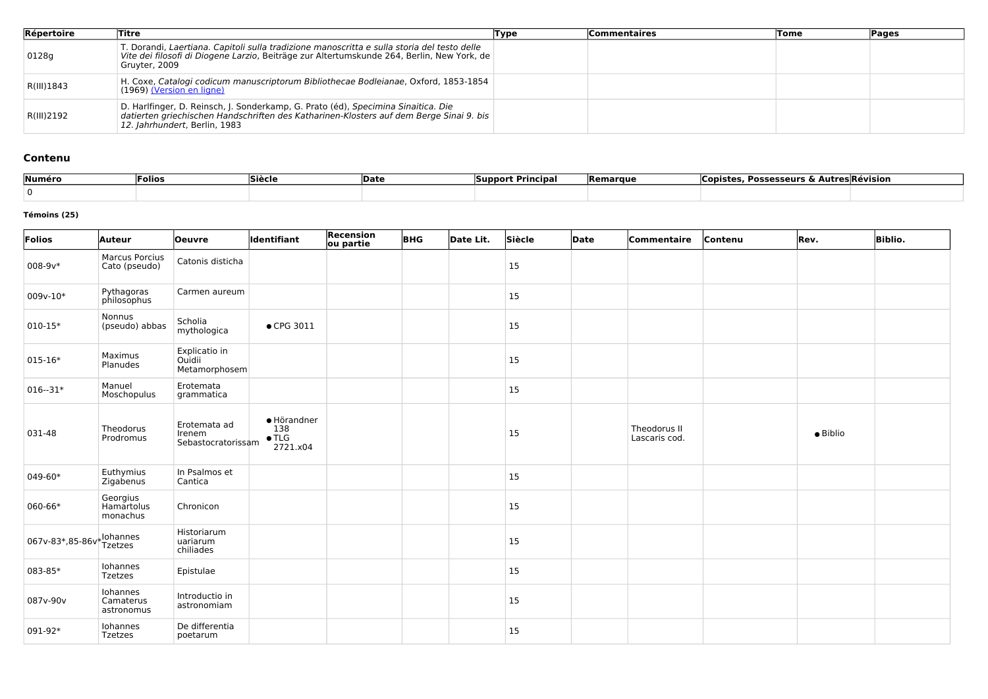| Répertoire | Titre                                                                                                                                                                                                         | Type | <b>Commentaires</b> | Tome | Pages |
|------------|---------------------------------------------------------------------------------------------------------------------------------------------------------------------------------------------------------------|------|---------------------|------|-------|
| 0128g      | T. Dorandi, Laertiana. Capitoli sulla tradizione manoscritta e sulla storia del testo delle<br>Vite dei filosofi di Diogene Larzio, Beiträge zur Altertumskunde 264, Berlin, New York, de<br>Gruyter, 2009    |      |                     |      |       |
| R(III)1843 | H. Coxe, Catalogi codicum manuscriptorum Bibliothecae Bodleianae, Oxford, 1853-1854<br>(1969) (Version en ligne)                                                                                              |      |                     |      |       |
| R(III)2192 | D. Harlfinger, D. Reinsch, J. Sonderkamp, G. Prato (éd), Specimina Sinaitica. Die<br>datierten griechischen Handschriften des Katharinen-Klosters auf dem Berge Sinai 9. bis<br>12. Jahrhundert, Berlin, 1983 |      |                     |      |       |

#### **Contenu**

| Numéro | Folios | Siècle | <b>Date</b> | <b>Principal</b><br>Support | <b>Remarque</b> | . Possesseurs & Autres Révision<br>Copistes |
|--------|--------|--------|-------------|-----------------------------|-----------------|---------------------------------------------|
|        |        |        |             |                             |                 |                                             |

#### **Témoins (25)**

| Folios          | <b>Auteur</b>                          | <b>Oeuvre</b>                                | ldentifiant                                     | <b>Recension</b><br>ou partie | <b>BHG</b> | Date Lit. | Siècle    | <b>Date</b> | Commentaire                   | Contenu | Rev.             | <b>Biblio.</b> |
|-----------------|----------------------------------------|----------------------------------------------|-------------------------------------------------|-------------------------------|------------|-----------|-----------|-------------|-------------------------------|---------|------------------|----------------|
| $008 - 9v*$     | <b>Marcus Porcius</b><br>Cato (pseudo) | Catonis disticha                             |                                                 |                               |            |           | 15        |             |                               |         |                  |                |
| $009v-10*$      | Pythagoras<br>philosophus              | Carmen aureum                                |                                                 |                               |            |           | <b>15</b> |             |                               |         |                  |                |
| $010 - 15*$     | Nonnus<br>(pseudo) abbas               | Scholia<br>mythologica                       | • CPG 3011                                      |                               |            |           | <b>15</b> |             |                               |         |                  |                |
| $015 - 16*$     | Maximus<br>Planudes                    | Explicatio in<br>Ouidii<br>Metamorphosem     |                                                 |                               |            |           | <b>15</b> |             |                               |         |                  |                |
| $016 - 31*$     | Manuel<br>Moschopulus                  | Erotemata<br>grammatica                      |                                                 |                               |            |           | <b>15</b> |             |                               |         |                  |                |
| 031-48          | Theodorus<br>Prodromus                 | Erotemata ad<br>Irenem<br>Sebastocratorissam | · Hörandner<br>138<br>$\bullet$ TLG<br>2721.x04 |                               |            |           | 15        |             | Theodorus II<br>Lascaris cod. |         | $\bullet$ Biblio |                |
| 049-60*         | Euthymius<br>Zigabenus                 | In Psalmos et<br>Cantica                     |                                                 |                               |            |           | 15        |             |                               |         |                  |                |
| 060-66*         | Georgius<br>Hamartolus<br>monachus     | Chronicon                                    |                                                 |                               |            |           | 15        |             |                               |         |                  |                |
| 067v-83*,85-86v | , Iohannes<br><b>Tzetzes</b>           | Historiarum<br>uariarum<br>chiliades         |                                                 |                               |            |           | <b>15</b> |             |                               |         |                  |                |
| 083-85*         | Iohannes<br><b>Tzetzes</b>             | Epistulae                                    |                                                 |                               |            |           | <b>15</b> |             |                               |         |                  |                |
| 087v-90v        | Iohannes<br>Camaterus<br>astronomus    | Introductio in<br>astronomiam                |                                                 |                               |            |           | <b>15</b> |             |                               |         |                  |                |
| 091-92*         | Iohannes<br><b>Tzetzes</b>             | De differentia<br>poetarum                   |                                                 |                               |            |           | 15        |             |                               |         |                  |                |